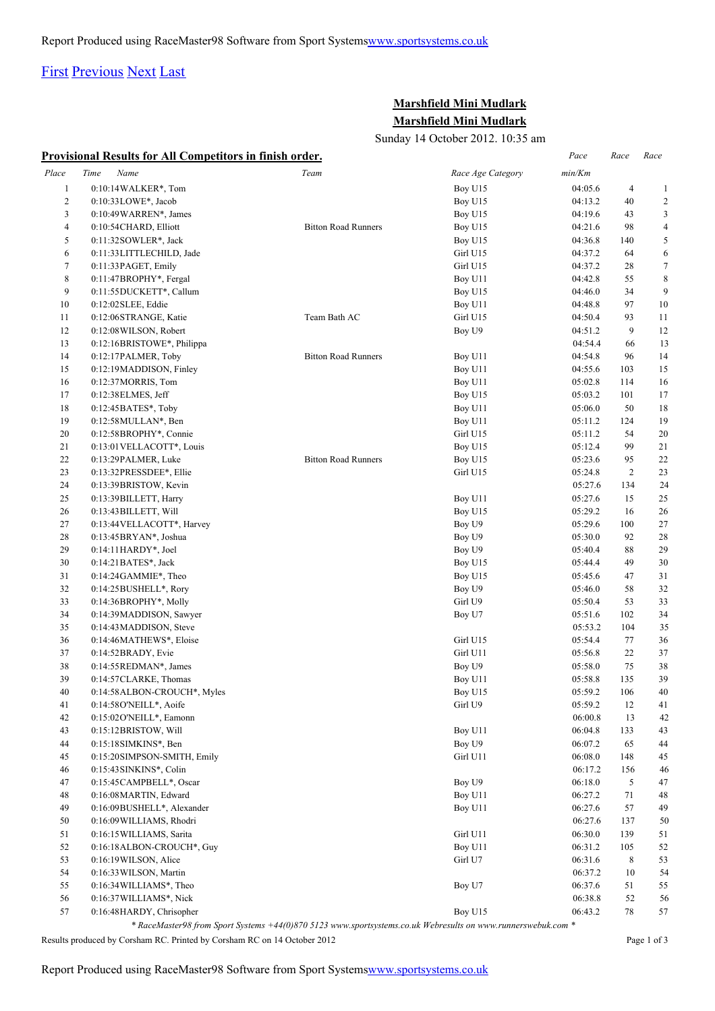## [First](http://www.corshamrunningclub.co.uk/Mudlark/Results/2012/Marshfield Mini-Mudlark.html#) [Previous](http://www.corshamrunningclub.co.uk/Mudlark/Results/2012/Marshfield Mini-Mudlark.html#) [Next](http://www.corshamrunningclub.co.uk/Mudlark/Results/2012/Marshfield Mini-MudlarkPage2.html) [Last](http://www.corshamrunningclub.co.uk/Mudlark/Results/2012/Marshfield Mini-MudlarkPage3.html)

## **Marshfield Mini Mudlark Marshfield Mini Mudlark**

Sunday 14 October 2012. 10:35 am

|              | Provisional Results for All Competitors in finish order. |                            |                   | Pace    | Race           | Race             |
|--------------|----------------------------------------------------------|----------------------------|-------------------|---------|----------------|------------------|
| Place        | Time<br>Name                                             | Team                       | Race Age Category | min/Km  |                |                  |
| $\mathbf{1}$ | 0:10:14WALKER*, Tom                                      |                            | Boy U15           | 04:05.6 | $\overline{4}$ | $\mathbf{1}$     |
| $\mathbf{2}$ | 0:10:33LOWE*, Jacob                                      |                            | Boy U15           | 04:13.2 | 40             | $\overline{c}$   |
| 3            | $0:10:49\text{WARREN}^*$ , James                         |                            | Boy U15           | 04:19.6 | 43             | 3                |
| 4            | 0:10:54CHARD, Elliott                                    | <b>Bitton Road Runners</b> | Boy U15           | 04:21.6 | 98             | 4                |
| 5            | $0:11:32$ SOWLER*, Jack                                  |                            | Boy U15           | 04:36.8 | 140            | 5                |
| 6            | 0:11:33LITTLECHILD, Jade                                 |                            | Girl U15          | 04:37.2 | 64             | 6                |
| $\tau$       | 0:11:33PAGET, Emily                                      |                            | Girl U15          | 04:37.2 | 28             | $\boldsymbol{7}$ |
| 8            | 0:11:47BROPHY*, Fergal                                   |                            | Boy U11           | 04:42.8 | 55             | 8                |
| 9            | 0:11:55DUCKETT*, Callum                                  |                            | Boy U15           | 04:46.0 | 34             | 9                |
| 10           | $0:12:02$ SLEE, Eddie                                    |                            | Boy U11           | 04:48.8 | 97             | 10               |
| 11           | 0:12:06STRANGE, Katie                                    | Team Bath AC               | Girl U15          | 04:50.4 | 93             | 11               |
| 12           | 0:12:08 WILSON, Robert                                   |                            | Boy U9            | 04:51.2 | 9              | 12               |
| 13           | 0:12:16BRISTOWE*, Philippa                               |                            |                   | 04:54.4 | 66             | 13               |
| 14           | 0:12:17PALMER, Toby                                      | <b>Bitton Road Runners</b> | Boy U11           | 04:54.8 | 96             | 14               |
| 15           | 0:12:19MADDISON, Finley                                  |                            | Boy U11           | 04:55.6 | 103            | 15               |
| 16           | 0:12:37MORRIS, Tom                                       |                            | Boy U11           | 05:02.8 | 114            | 16               |
| 17           | 0:12:38 ELMES, Jeff                                      |                            | Boy U15           | 05:03.2 | 101            | 17               |
| 18           | $0:12:45BATES^*$ , Toby                                  |                            | Boy U11           | 05:06.0 | 50             | 18               |
| 19           | $0:12:58$ MULLAN*, Ben                                   |                            | Boy U11           | 05:11.2 | 124            | 19               |
| 20           | 0:12:58BROPHY*, Connie                                   |                            | Girl U15          | 05:11.2 | 54             | 20               |
| 21           | 0:13:01 VELLACOTT*, Louis                                |                            | Boy U15           | 05:12.4 | 99             | 21               |
| 22           | 0:13:29PALMER, Luke                                      | <b>Bitton Road Runners</b> | Boy U15           | 05:23.6 | 95             | 22               |
| 23           | 0:13:32PRESSDEE*, Ellie                                  |                            | Girl U15          | 05:24.8 | $\overline{c}$ | 23               |
| 24           | 0:13:39BRISTOW, Kevin                                    |                            |                   | 05:27.6 | 134            | 24               |
| 25           | 0:13:39 BILLETT, Harry                                   |                            | Boy U11           | 05:27.6 | 15             | 25               |
| 26           | 0:13:43 BILLETT, Will                                    |                            | Boy U15           | 05:29.2 | 16             | 26               |
| 27           | 0:13:44 VELLACOTT*, Harvey                               |                            | Boy U9            | 05:29.6 | 100            | 27               |
| 28           | 0:13:45BRYAN*, Joshua                                    |                            | Boy U9            | 05:30.0 | 92             | 28               |
| 29           | $0:14:11HARDY^*$ , Joel                                  |                            | Boy U9            | 05:40.4 | 88             | 29               |
| 30           | $0:14:21$ BATES*, Jack                                   |                            | Boy U15           | 05:44.4 | 49             | 30               |
| 31           | 0:14:24GAMMIE*, Theo                                     |                            | Boy U15           | 05:45.6 | 47             | 31               |
| 32           | $0:14:25$ BUSHELL*, Rory                                 |                            | Boy U9            | 05:46.0 | 58             | 32               |
| 33           | 0:14:36BROPHY*, Molly                                    |                            | Girl U9           | 05:50.4 | 53             | 33               |
| 34           | 0:14:39MADDISON, Sawyer                                  |                            | Boy U7            | 05:51.6 | 102            | 34               |
| 35           | 0:14:43MADDISON, Steve                                   |                            |                   | 05:53.2 | 104            | 35               |
| 36           | 0:14:46MATHEWS*, Eloise                                  |                            | Girl U15          | 05:54.4 | 77             | 36               |
| 37           | $0:14:52$ BRADY, Evie                                    |                            | Girl U11          | 05:56.8 | 22             | 37               |
| 38           | $0:14:55$ REDMAN*, James                                 |                            | Boy U9            | 05:58.0 | 75             | 38               |
| 39           | 0:14:57CLARKE, Thomas                                    |                            | Boy U11           | 05:58.8 | 135            | 39               |
| 40           | 0:14:58ALBON-CROUCH*, Myles                              |                            | Boy U15           | 05:59.2 | 106            | 40               |
| 41           | 0:14:58O'NEILL*, Aoife                                   |                            | Girl U9           | 05:59.2 | 12             | 41               |
| 42           | 0:15:02 O'NEILL*, Eamonn                                 |                            |                   | 06:00.8 | 13             | 42               |
| 43           | 0:15:12BRISTOW, Will                                     |                            | Boy U11           | 06:04.8 | 133            | 43               |
| 44           | 0:15:18SIMKINS*, Ben                                     |                            | Boy U9            | 06:07.2 | 65             | 44               |
| 45           | 0:15:20SIMPSON-SMITH, Emily                              |                            | Girl U11          | 06:08.0 | 148            | 45               |
| 46           | 0:15:43 SINKINS*, Colin                                  |                            |                   | 06:17.2 | 156            | 46               |
| 47           | 0:15:45CAMPBELL*, Oscar                                  |                            | Boy U9            | 06:18.0 | 5              | 47               |
| 48           | 0:16:08MARTIN, Edward                                    |                            | Boy U11           | 06:27.2 | 71             | 48               |
| 49           | 0:16:09BUSHELL*, Alexander                               |                            | Boy U11           | 06:27.6 | 57             | 49               |
| 50           | 0:16:09 WILLIAMS, Rhodri                                 |                            |                   | 06:27.6 | 137            | 50               |
| 51           | 0:16:15 WILLIAMS, Sarita                                 |                            | Girl U11          | 06:30.0 | 139            | 51               |
| 52           | 0:16:18ALBON-CROUCH*, Guy                                |                            | Boy U11           | 06:31.2 | 105            | 52               |
| 53           | 0:16:19WILSON, Alice                                     |                            | Girl U7           | 06:31.6 | $\,$ 8 $\,$    | 53               |
| 54           | 0:16:33 WILSON, Martin                                   |                            |                   | 06:37.2 | 10             | 54               |
| 55           | 0:16:34 WILLIAMS*, Theo                                  |                            | Boy U7            | 06:37.6 | 51             | 55               |
| 56           |                                                          |                            |                   |         | 52             | 56               |
|              | 0:16:37 WILLIAMS*, Nick                                  |                            |                   | 06:38.8 |                |                  |

*\* RaceMaster98 from Sport Systems +44(0)870 5123 www.sportsystems.co.uk Webresults on www.runnerswebuk.com \**

Results produced by Corsham RC. Printed by Corsham RC on 14 October 2012 Page 1 of 3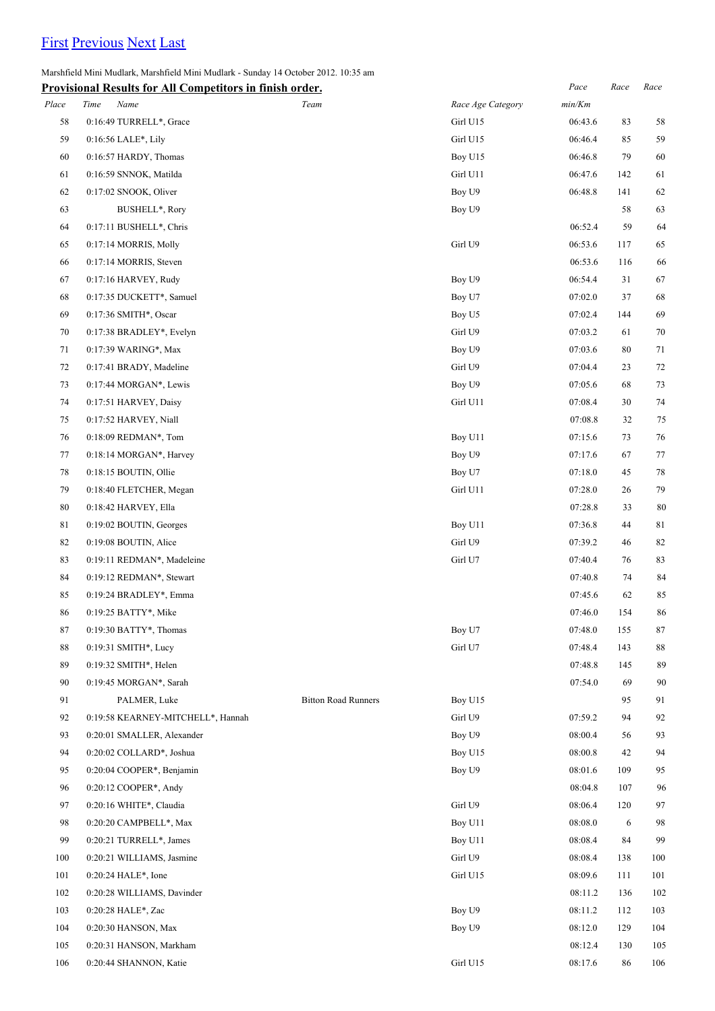## [First](http://www.corshamrunningclub.co.uk/Mudlark/Results/2012/Marshfield Mini-Mudlark.html) [Previous](http://www.corshamrunningclub.co.uk/Mudlark/Results/2012/Marshfield Mini-Mudlark.html) [Next](http://www.corshamrunningclub.co.uk/Mudlark/Results/2012/Marshfield Mini-MudlarkPage3.html) [Last](http://www.corshamrunningclub.co.uk/Mudlark/Results/2012/Marshfield Mini-MudlarkPage3.html)

Marshfield Mini Mudlark, Marshfield Mini Mudlark - Sunday 14 October 2012. 10:35 am

|       | <b>Provisional Results for All Competitors in finish order.</b> |                            |                   | Pace    | Race   | Race   |
|-------|-----------------------------------------------------------------|----------------------------|-------------------|---------|--------|--------|
| Place | Time<br>Name                                                    | Team                       | Race Age Category | min/Km  |        |        |
| 58    | 0:16:49 TURRELL*, Grace                                         |                            | Girl U15          | 06:43.6 | 83     | 58     |
| 59    | 0:16:56 LALE*, Lily                                             |                            | Girl U15          | 06:46.4 | 85     | 59     |
| 60    | 0:16:57 HARDY, Thomas                                           |                            | Boy U15           | 06:46.8 | 79     | 60     |
| 61    | 0:16:59 SNNOK, Matilda                                          |                            | Girl U11          | 06:47.6 | 142    | 61     |
| 62    | 0:17:02 SNOOK, Oliver                                           |                            | Boy U9            | 06:48.8 | 141    | 62     |
| 63    | BUSHELL*, Rory                                                  |                            | Boy U9            |         | 58     | 63     |
| 64    | 0:17:11 BUSHELL*, Chris                                         |                            |                   | 06:52.4 | 59     | 64     |
| 65    | 0:17:14 MORRIS, Molly                                           |                            | Girl U9           | 06:53.6 | 117    | 65     |
| 66    | 0:17:14 MORRIS, Steven                                          |                            |                   | 06:53.6 | 116    | 66     |
| 67    | 0:17:16 HARVEY, Rudy                                            |                            | Boy U9            | 06:54.4 | 31     | 67     |
| 68    | 0:17:35 DUCKETT*, Samuel                                        |                            | Boy U7            | 07:02.0 | 37     | 68     |
| 69    | 0:17:36 SMITH*, Oscar                                           |                            | Boy U5            | 07:02.4 | 144    | 69     |
| 70    | 0:17:38 BRADLEY*, Evelyn                                        |                            | Girl U9           | 07:03.2 | 61     | 70     |
| 71    | 0:17:39 WARING*, Max                                            |                            | Boy U9            | 07:03.6 | 80     | 71     |
| 72    | 0:17:41 BRADY, Madeline                                         |                            | Girl U9           | 07:04.4 | 23     | 72     |
| 73    | $0:17:44$ MORGAN*, Lewis                                        |                            | Boy U9            | 07:05.6 | 68     | 73     |
| 74    | 0:17:51 HARVEY, Daisy                                           |                            | Girl U11          | 07:08.4 | 30     | 74     |
| 75    | 0:17:52 HARVEY, Niall                                           |                            |                   | 07:08.8 | 32     | 75     |
| 76    | 0:18:09 REDMAN*, Tom                                            |                            | Boy U11           | 07:15.6 | 73     | 76     |
| 77    | 0:18:14 MORGAN*, Harvey                                         |                            | Boy U9            | 07:17.6 | 67     | 77     |
| 78    | $0:18:15$ BOUTIN, Ollie                                         |                            | Boy U7            | 07:18.0 | 45     | 78     |
| 79    | 0:18:40 FLETCHER, Megan                                         |                            | Girl U11          | 07:28.0 | 26     | 79     |
| 80    | 0:18:42 HARVEY, Ella                                            |                            |                   | 07:28.8 | 33     | 80     |
| 81    | 0:19:02 BOUTIN, Georges                                         |                            | Boy U11           | 07:36.8 | $44\,$ | 81     |
| 82    | 0:19:08 BOUTIN, Alice                                           |                            | Girl U9           | 07:39.2 | 46     | 82     |
| 83    | 0:19:11 REDMAN*, Madeleine                                      |                            | Girl U7           | 07:40.4 | 76     | 83     |
| 84    | 0:19:12 REDMAN*, Stewart                                        |                            |                   | 07:40.8 | 74     | 84     |
| 85    | 0:19:24 BRADLEY*, Emma                                          |                            |                   | 07:45.6 | 62     | 85     |
| 86    | 0:19:25 BATTY*, Mike                                            |                            |                   | 07:46.0 | 154    | 86     |
| 87    | 0:19:30 BATTY*, Thomas                                          |                            | Boy U7            | 07:48.0 | 155    | $87\,$ |
| 88    | 0:19:31 SMITH*, Lucy                                            |                            | Girl U7           | 07:48.4 | 143    | 88     |
| 89    | 0:19:32 SMITH*, Helen                                           |                            |                   | 07:48.8 | 145    | 89     |
| 90    | 0:19:45 MORGAN*, Sarah                                          |                            |                   | 07:54.0 | 69     | 90     |
| 91    | PALMER, Luke                                                    | <b>Bitton Road Runners</b> | Boy U15           |         | 95     | 91     |
| 92    | 0:19:58 KEARNEY-MITCHELL*, Hannah                               |                            | Girl U9           | 07:59.2 | 94     | 92     |
| 93    | 0:20:01 SMALLER, Alexander                                      |                            | Boy U9            | 08:00.4 | 56     | 93     |
| 94    | 0:20:02 COLLARD*, Joshua                                        |                            | Boy U15           | 08:00.8 | 42     | 94     |
| 95    | 0:20:04 COOPER*, Benjamin                                       |                            | Boy U9            | 08:01.6 | 109    | 95     |
| 96    | $0:20:12$ COOPER*, Andy                                         |                            |                   | 08:04.8 | 107    | 96     |
| 97    | 0:20:16 WHITE*, Claudia                                         |                            | Girl U9           | 08:06.4 | 120    | 97     |
| 98    | 0:20:20 CAMPBELL*, Max                                          |                            | Boy U11           | 08:08.0 | 6      | 98     |
| 99    | 0:20:21 TURRELL*, James                                         |                            | Boy U11           | 08:08.4 | 84     | 99     |
| 100   | 0:20:21 WILLIAMS, Jasmine                                       |                            | Girl U9           | 08:08.4 | 138    | 100    |
| 101   | 0:20:24 HALE*, Ione                                             |                            | Girl U15          | 08:09.6 | 111    | 101    |
| 102   | 0:20:28 WILLIAMS, Davinder                                      |                            |                   | 08:11.2 | 136    | 102    |
| 103   | 0:20:28 HALE*, Zac                                              |                            | Boy U9            | 08:11.2 | 112    | 103    |
| 104   | 0:20:30 HANSON, Max                                             |                            | Boy U9            | 08:12.0 | 129    | 104    |
| 105   | 0:20:31 HANSON, Markham                                         |                            |                   | 08:12.4 | 130    | 105    |
| 106   | 0:20:44 SHANNON, Katie                                          |                            | Girl U15          | 08:17.6 | 86     | 106    |
|       |                                                                 |                            |                   |         |        |        |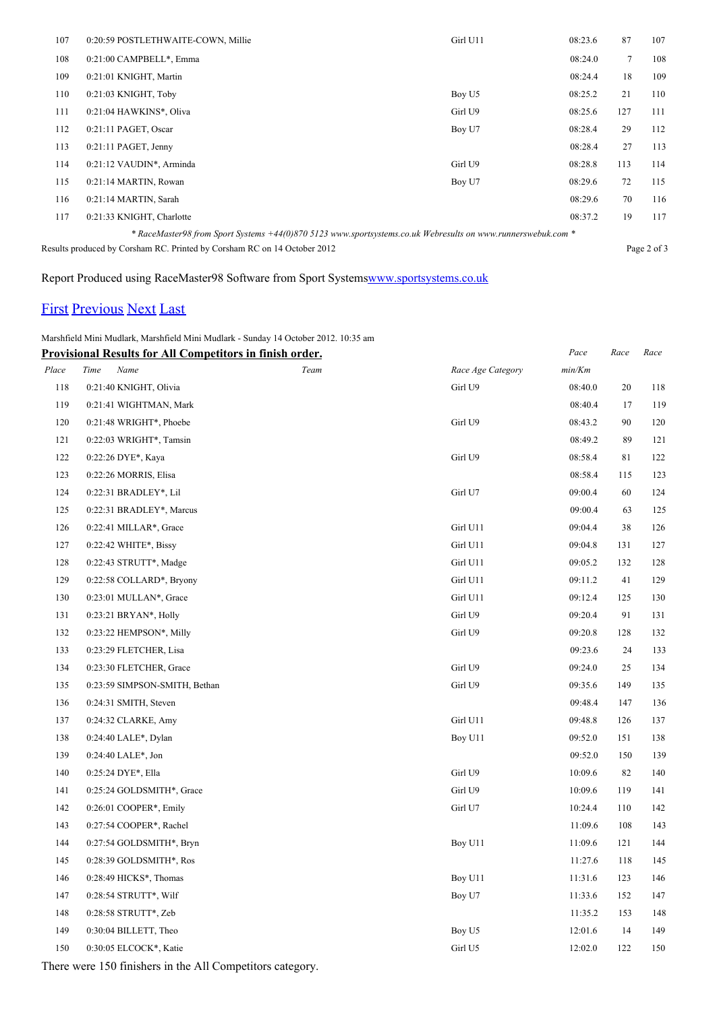| 107                                                                      | 0:20:59 POSTLETHWAITE-COWN, Millie                                                                           | Girl U11 | 08:23.6 | 87          | 107 |  |
|--------------------------------------------------------------------------|--------------------------------------------------------------------------------------------------------------|----------|---------|-------------|-----|--|
| 108                                                                      | 0:21:00 CAMPBELL*, Emma                                                                                      |          | 08:24.0 | $\tau$      | 108 |  |
| 109                                                                      | 0:21:01 KNIGHT, Martin                                                                                       |          | 08:24.4 | 18          | 109 |  |
| 110                                                                      | 0:21:03 KNIGHT, Toby                                                                                         | Boy U5   | 08:25.2 | 21          | 110 |  |
| 111                                                                      | 0:21:04 HAWKINS*, Oliva                                                                                      | Girl U9  | 08:25.6 | 127         | 111 |  |
| 112                                                                      | 0:21:11 PAGET, Oscar                                                                                         | Boy U7   | 08:28.4 | 29          | 112 |  |
| 113                                                                      | $0:21:11$ PAGET, Jenny                                                                                       |          | 08:28.4 | 27          | 113 |  |
| 114                                                                      | 0:21:12 VAUDIN*, Arminda                                                                                     | Girl U9  | 08:28.8 | 113         | 114 |  |
| 115                                                                      | 0:21:14 MARTIN, Rowan                                                                                        | Boy U7   | 08:29.6 | 72          | 115 |  |
| 116                                                                      | 0:21:14 MARTIN, Sarah                                                                                        |          | 08:29.6 | 70          | 116 |  |
| 117                                                                      | 0:21:33 KNIGHT, Charlotte                                                                                    |          | 08:37.2 | 19          | 117 |  |
|                                                                          | * RaceMaster98 from Sport Systems +44(0)870 5123 www.sportsystems.co.uk Webresults on www.runnerswebuk.com * |          |         |             |     |  |
| Results produced by Corsham RC. Printed by Corsham RC on 14 October 2012 |                                                                                                              |          |         | Page 2 of 3 |     |  |

Report Produced using RaceMaster98 Software from Sport System[swww.sportsystems.co.uk](http://www.sportsystems.co.uk/)

## [First](http://www.corshamrunningclub.co.uk/Mudlark/Results/2012/Marshfield Mini-Mudlark.html) [Previous](http://www.corshamrunningclub.co.uk/Mudlark/Results/2012/Marshfield Mini-MudlarkPage2.html) [Next](http://www.corshamrunningclub.co.uk/Mudlark/Results/2012/Marshfield Mini-MudlarkPage3.html#) [Last](http://www.corshamrunningclub.co.uk/Mudlark/Results/2012/Marshfield Mini-MudlarkPage3.html#)

Marshfield Mini Mudlark, Marshfield Mini Mudlark - Sunday 14 October 2012. 10:35 am

| <b>Provisional Results for All Competitors in finish order.</b> |                               |      |                   | Pace    | Race | Race |
|-----------------------------------------------------------------|-------------------------------|------|-------------------|---------|------|------|
| Place                                                           | Time<br>Name                  | Team | Race Age Category | min/Km  |      |      |
| 118                                                             | 0:21:40 KNIGHT, Olivia        |      | Girl U9           | 08:40.0 | 20   | 118  |
| 119                                                             | 0:21:41 WIGHTMAN, Mark        |      |                   | 08:40.4 | 17   | 119  |
| 120                                                             | 0:21:48 WRIGHT*, Phoebe       |      | Girl U9           | 08:43.2 | 90   | 120  |
| 121                                                             | 0:22:03 WRIGHT*, Tamsin       |      |                   | 08:49.2 | 89   | 121  |
| 122                                                             | 0:22:26 DYE*, Kaya            |      | Girl U9           | 08:58.4 | 81   | 122  |
| 123                                                             | 0:22:26 MORRIS, Elisa         |      |                   | 08:58.4 | 115  | 123  |
| 124                                                             | 0:22:31 BRADLEY*, Lil         |      | Girl U7           | 09:00.4 | 60   | 124  |
| 125                                                             | 0:22:31 BRADLEY*, Marcus      |      |                   | 09:00.4 | 63   | 125  |
| 126                                                             | 0:22:41 MILLAR*, Grace        |      | Girl U11          | 09:04.4 | 38   | 126  |
| 127                                                             | 0:22:42 WHITE*, Bissy         |      | Girl U11          | 09:04.8 | 131  | 127  |
| 128                                                             | 0:22:43 STRUTT*, Madge        |      | Girl U11          | 09:05.2 | 132  | 128  |
| 129                                                             | 0:22:58 COLLARD*, Bryony      |      | Girl U11          | 09:11.2 | 41   | 129  |
| 130                                                             | 0:23:01 MULLAN*, Grace        |      | Girl U11          | 09:12.4 | 125  | 130  |
| 131                                                             | 0:23:21 BRYAN*, Holly         |      | Girl U9           | 09:20.4 | 91   | 131  |
| 132                                                             | 0:23:22 HEMPSON*, Milly       |      | Girl U9           | 09:20.8 | 128  | 132  |
| 133                                                             | 0:23:29 FLETCHER, Lisa        |      |                   | 09:23.6 | 24   | 133  |
| 134                                                             | 0:23:30 FLETCHER, Grace       |      | Girl U9           | 09:24.0 | 25   | 134  |
| 135                                                             | 0:23:59 SIMPSON-SMITH, Bethan |      | Girl U9           | 09:35.6 | 149  | 135  |
| 136                                                             | 0:24:31 SMITH, Steven         |      |                   | 09:48.4 | 147  | 136  |
| 137                                                             | 0:24:32 CLARKE, Amy           |      | Girl U11          | 09:48.8 | 126  | 137  |
| 138                                                             | 0:24:40 LALE*, Dylan          |      | Boy U11           | 09:52.0 | 151  | 138  |
| 139                                                             | 0:24:40 LALE*, Jon            |      |                   | 09:52.0 | 150  | 139  |
| 140                                                             | 0:25:24 DYE*, Ella            |      | Girl U9           | 10:09.6 | 82   | 140  |
| 141                                                             | 0:25:24 GOLDSMITH*, Grace     |      | Girl U9           | 10:09.6 | 119  | 141  |
| 142                                                             | 0:26:01 COOPER*, Emily        |      | Girl U7           | 10:24.4 | 110  | 142  |
| 143                                                             | 0:27:54 COOPER*, Rachel       |      |                   | 11:09.6 | 108  | 143  |
| 144                                                             | 0:27:54 GOLDSMITH*, Bryn      |      | Boy U11           | 11:09.6 | 121  | 144  |
| 145                                                             | 0:28:39 GOLDSMITH*, Ros       |      |                   | 11:27.6 | 118  | 145  |
| 146                                                             | 0:28:49 HICKS*, Thomas        |      | Boy U11           | 11:31.6 | 123  | 146  |
| 147                                                             | 0:28:54 STRUTT*, Wilf         |      | Boy U7            | 11:33.6 | 152  | 147  |
| 148                                                             | 0:28:58 STRUTT*, Zeb          |      |                   | 11:35.2 | 153  | 148  |
| 149                                                             | 0:30:04 BILLETT, Theo         |      | Boy U5            | 12:01.6 | 14   | 149  |
| 150                                                             | 0:30:05 ELCOCK*, Katie        |      | Girl U5           | 12:02.0 | 122  | 150  |
|                                                                 |                               |      |                   |         |      |      |

There were 150 finishers in the All Competitors category.